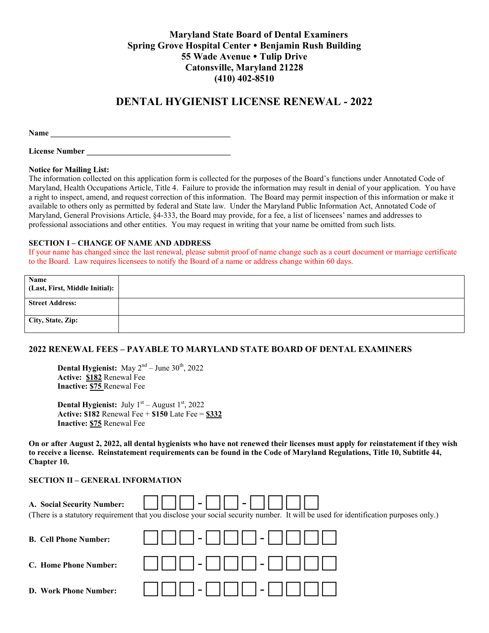### **Maryland State Board of Dental Examiners Spring Grove Hospital Center Benjamin Rush Building 55 Wade Avenue Tulip Drive Catonsville, Maryland 21228 (410) 402-8510**

## **DENTAL HYGIENIST LICENSE RENEWAL - 2022**

Name **Name** 

**License Number \_\_\_\_\_\_\_\_\_\_\_\_\_\_\_\_\_\_\_\_\_\_\_\_\_\_\_\_\_\_\_\_\_\_\_\_** 

#### **Notice for Mailing List:**

The information collected on this application form is collected for the purposes of the Board's functions under Annotated Code of Maryland, Health Occupations Article, Title 4. Failure to provide the information may result in denial of your application. You have a right to inspect, amend, and request correction of this information. The Board may permit inspection of this information or make it available to others only as permitted by federal and State law. Under the Maryland Public Information Act, Annotated Code of Maryland, General Provisions Article, §4-333, the Board may provide, for a fee, a list of licensees' names and addresses to professional associations and other entities. You may request in writing that your name be omitted from such lists.

#### **SECTION I – CHANGE OF NAME AND ADDRESS**

If your name has changed since the last renewal, please submit proof of name change such as a court document or marriage certificate to the Board. Law requires licensees to notify the Board of a name or address change within 60 days.

| Name<br>(Last, First, Middle Initial): |  |
|----------------------------------------|--|
| <b>Street Address:</b>                 |  |
| City, State, Zip:                      |  |

### **2022 RENEWAL FEES – PAYABLE TO MARYLAND STATE BOARD OF DENTAL EXAMINERS**

**Dental Hygienist:** May  $2^{nd}$  – June  $30^{th}$ , 2022 **Active: \$182** Renewal Fee **Inactive: \$75** Renewal Fee

**Dental Hygienist:** July  $1<sup>st</sup>$  – August  $1<sup>st</sup>$ , 2022 **Active: \$182** Renewal Fee + **\$150** Late Fee = **\$332 Inactive: \$75** Renewal Fee

**On or after August 2, 2022, all dental hygienists who have not renewed their licenses must apply for reinstatement if they wish to receive a license. Reinstatement requirements can be found in the Code of Maryland Regulations, Title 10, Subtitle 44, Chapter 10.** 

#### **SECTION II – GENERAL INFORMATION**

| $\vert - \vert$<br>$1 - 1$<br>A. Social Security Number:<br>(There is a statutory requirement that you disclose your social security number. It will be used for identification purposes only.) |             |  |  |  |
|-------------------------------------------------------------------------------------------------------------------------------------------------------------------------------------------------|-------------|--|--|--|
| <b>B. Cell Phone Number:</b>                                                                                                                                                                    |             |  |  |  |
| C. Home Phone Number:                                                                                                                                                                           | -         - |  |  |  |
| D. Work Phone Number:                                                                                                                                                                           | $1 - 1$     |  |  |  |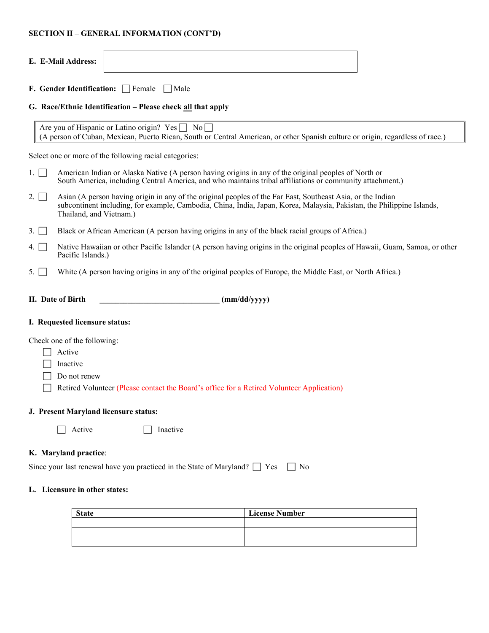### **SECTION II – GENERAL INFORMATION (CONT'D)**

|      | E. E-Mail Address:                                                                                                                                                                                                |
|------|-------------------------------------------------------------------------------------------------------------------------------------------------------------------------------------------------------------------|
|      | <b>F. Gender Identification:</b> Female Male                                                                                                                                                                      |
|      | G. Race/Ethnic Identification – Please check all that apply                                                                                                                                                       |
|      | Are you of Hispanic or Latino origin? $Yes \Box No \Box$<br>(A person of Cuban, Mexican, Puerto Rican, South or Central American, or other Spanish culture or origin, regardless of race.)                        |
|      | Select one or more of the following racial categories:                                                                                                                                                            |
| 1. 1 | American Indian or Alaska Native (A person having origins in any of the original peoples of North or<br>South America, including Central America, and who maintains tribal affiliations or community attachment.) |

- 2.  $\Box$  Asian (A person having origin in any of the original peoples of the Far East, Southeast Asia, or the Indian subcontinent including, for example, Cambodia, China, India, Japan, Korea, Malaysia, Pakistan, the Philippine Islands, Thailand, and Vietnam.)
- 3. Black or African American (A person having origins in any of the black racial groups of Africa.)
- 4. Native Hawaiian or other Pacific Islander (A person having origins in the original peoples of Hawaii, Guam, Samoa, or other Pacific Islands.)
- 5. White (A person having origins in any of the original peoples of Europe, the Middle East, or North Africa.)
- **H. Date of Birth \_\_\_\_\_\_\_\_\_\_\_\_\_\_\_\_\_\_\_\_\_\_\_\_\_\_\_\_\_\_ (mm/dd/yyyy)**

#### **I. Requested licensure status:**

Check one of the following:

- □ Active
- $\Box$  Inactive
- $\Box$  Do not renew
- Retired Volunteer (Please contact the Board's office for a Retired Volunteer Application)

#### **J. Present Maryland licensure status:**

 $\Box$  Active  $\Box$  Inactive

#### **K. Maryland practice**:

Since your last renewal have you practiced in the State of Maryland?  $\Box$  Yes  $\Box$  No

#### **L. Licensure in other states:**

| <b>State</b> | <b>License Number</b> |  |  |
|--------------|-----------------------|--|--|
|              |                       |  |  |
|              |                       |  |  |
|              |                       |  |  |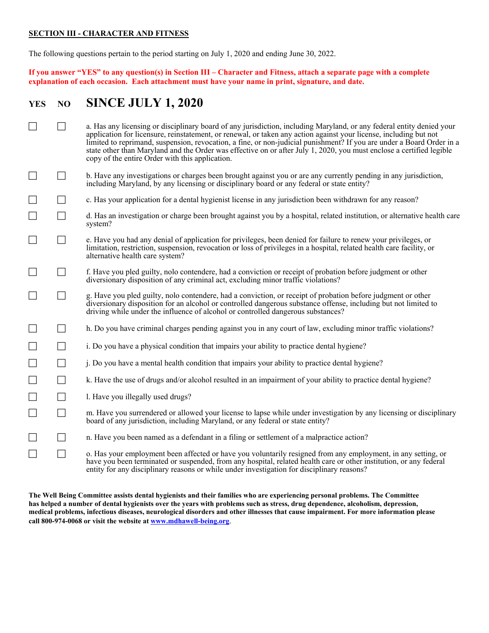### **SECTION III - CHARACTER AND FITNESS**

The following questions pertain to the period starting on July 1, 2020 and ending June 30, 2022.

**If you answer "YES" to any question(s) in Section III – Character and Fitness, attach a separate page with a complete explanation of each occasion. Each attachment must have your name in print, signature, and date.** 

# **YES NO SINCE JULY 1, 2020**

|                          | a. Has any licensing or disciplinary board of any jurisdiction, including Maryland, or any federal entity denied your<br>application for licensure, reinstatement, or renewal, or taken any action against your license, including but not<br>limited to reprimand, suspension, revocation, a fine, or non-judicial punishment? If you are under a Board Order in a<br>state other than Maryland and the Order was effective on or after July 1, 2020, you must enclose a certified legible<br>copy of the entire Order with this application. |
|--------------------------|------------------------------------------------------------------------------------------------------------------------------------------------------------------------------------------------------------------------------------------------------------------------------------------------------------------------------------------------------------------------------------------------------------------------------------------------------------------------------------------------------------------------------------------------|
|                          | b. Have any investigations or charges been brought against you or are any currently pending in any jurisdiction,<br>including Maryland, by any licensing or disciplinary board or any federal or state entity?                                                                                                                                                                                                                                                                                                                                 |
|                          | c. Has your application for a dental hygienist license in any jurisdiction been withdrawn for any reason?                                                                                                                                                                                                                                                                                                                                                                                                                                      |
| $\overline{\phantom{a}}$ | d. Has an investigation or charge been brought against you by a hospital, related institution, or alternative health care<br>system?                                                                                                                                                                                                                                                                                                                                                                                                           |
| $\overline{\phantom{a}}$ | e. Have you had any denial of application for privileges, been denied for failure to renew your privileges, or<br>limitation, restriction, suspension, revocation or loss of privileges in a hospital, related health care facility, or<br>alternative health care system?                                                                                                                                                                                                                                                                     |
|                          | f. Have you pled guilty, nolo contendere, had a conviction or receipt of probation before judgment or other<br>diversionary disposition of any criminal act, excluding minor traffic violations?                                                                                                                                                                                                                                                                                                                                               |
| $\overline{\phantom{a}}$ | g. Have you pled guilty, nolo contendere, had a conviction, or receipt of probation before judgment or other<br>diversionary disposition for an alcohol or controlled dangerous substance offense, including but not limited to<br>driving while under the influence of alcohol or controlled dangerous substances?                                                                                                                                                                                                                            |
|                          | h. Do you have criminal charges pending against you in any court of law, excluding minor traffic violations?                                                                                                                                                                                                                                                                                                                                                                                                                                   |
|                          | i. Do you have a physical condition that impairs your ability to practice dental hygiene?                                                                                                                                                                                                                                                                                                                                                                                                                                                      |
|                          | <i>i</i> . Do you have a mental health condition that impairs your ability to practice dental hygiene?                                                                                                                                                                                                                                                                                                                                                                                                                                         |
| $\Box$                   | k. Have the use of drugs and/or alcohol resulted in an impairment of your ability to practice dental hygiene?                                                                                                                                                                                                                                                                                                                                                                                                                                  |
| $\Box$                   | l. Have you illegally used drugs?                                                                                                                                                                                                                                                                                                                                                                                                                                                                                                              |
| $\Box$                   | m. Have you surrendered or allowed your license to lapse while under investigation by any licensing or disciplinary<br>board of any jurisdiction, including Maryland, or any federal or state entity?                                                                                                                                                                                                                                                                                                                                          |
| $\Box$                   | n. Have you been named as a defendant in a filing or settlement of a malpractice action?                                                                                                                                                                                                                                                                                                                                                                                                                                                       |
| $\Box$                   | o. Has your employment been affected or have you voluntarily resigned from any employment, in any setting, or<br>have you been terminated or suspended, from any hospital, related health care or other institution, or any federal<br>entity for any disciplinary reasons or while under investigation for disciplinary reasons?                                                                                                                                                                                                              |

**The Well Being Committee assists dental hygienists and their families who are experiencing personal problems. The Committee has helped a number of dental hygienists over the years with problems such as stress, drug dependence, alcoholism, depression, medical problems, infectious diseases, neurological disorders and other illnesses that cause impairment. For more information please call 800-974-0068 or visit the website at www.mdhawell-being.org**.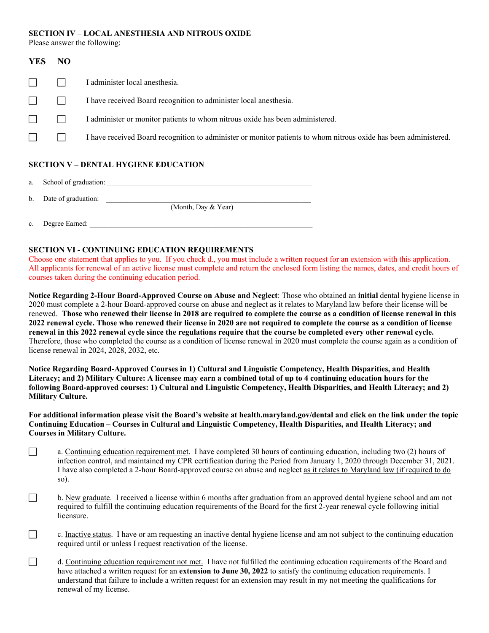#### **SECTION IV – LOCAL ANESTHESIA AND NITROUS OXIDE**

Please answer the following:

| <b>YES</b>                                  | NO |                                                                                                                  |  |
|---------------------------------------------|----|------------------------------------------------------------------------------------------------------------------|--|
|                                             |    | I administer local anesthesia.                                                                                   |  |
|                                             |    | I have received Board recognition to administer local anesthesia.                                                |  |
|                                             |    | I administer or monitor patients to whom nitrous oxide has been administered.                                    |  |
|                                             |    | I have received Board recognition to administer or monitor patients to whom nitrous oxide has been administered. |  |
| <b>SECTION V - DENTAL HYGIENE EDUCATION</b> |    |                                                                                                                  |  |

### **SECTION V – DENTAL HYGIENE EDUCATION**

a. School of graduation:

b. Date of graduation:

(Month, Day & Year)

c. Degree Earned: \_\_\_\_\_\_\_\_\_\_\_\_\_\_\_\_\_\_\_\_\_\_\_\_\_\_\_\_\_\_\_\_\_\_\_\_\_\_\_\_\_\_\_\_\_\_\_\_\_\_\_\_\_\_\_\_\_\_\_\_\_\_

### **SECTION VI - CONTINUING EDUCATION REQUIREMENTS**

Choose one statement that applies to you. If you check d., you must include a written request for an extension with this application. All applicants for renewal of an active license must complete and return the enclosed form listing the names, dates, and credit hours of courses taken during the continuing education period.

**Notice Regarding 2-Hour Board-Approved Course on Abuse and Neglect**: Those who obtained an **initial** dental hygiene license in 2020 must complete a 2-hour Board-approved course on abuse and neglect as it relates to Maryland law before their license will be renewed. **Those who renewed their license in 2018 are required to complete the course as a condition of license renewal in this 2022 renewal cycle. Those who renewed their license in 2020 are not required to complete the course as a condition of license renewal in this 2022 renewal cycle since the regulations require that the course be completed every other renewal cycle.** Therefore, those who completed the course as a condition of license renewal in 2020 must complete the course again as a condition of license renewal in 2024, 2028, 2032, etc.

**Notice Regarding Board-Approved Courses in 1) Cultural and Linguistic Competency, Health Disparities, and Health Literacy; and 2) Military Culture: A licensee may earn a combined total of up to 4 continuing education hours for the following Board-approved courses: 1) Cultural and Linguistic Competency, Health Disparities, and Health Literacy; and 2) Military Culture.** 

**For additional information please visit the Board's website at health.maryland.gov/dental and click on the link under the topic Continuing Education – Courses in Cultural and Linguistic Competency, Health Disparities, and Health Literacy; and Courses in Military Culture.** 

- a. Continuing education requirement met. I have completed 30 hours of continuing education, including two (2) hours of infection control, and maintained my CPR certification during the Period from January 1, 2020 through December 31, 2021. I have also completed a 2-hour Board-approved course on abuse and neglect as it relates to Maryland law (if required to do so).
- $\Box$  b. New graduate. I received a license within 6 months after graduation from an approved dental hygiene school and am not required to fulfill the continuing education requirements of the Board for the first 2-year renewal cycle following initial licensure.
- c. Inactive status. I have or am requesting an inactive dental hygiene license and am not subject to the continuing education required until or unless I request reactivation of the license.
- d. Continuing education requirement not met. I have not fulfilled the continuing education requirements of the Board and have attached a written request for an **extension to June 30, 2022** to satisfy the continuing education requirements. I understand that failure to include a written request for an extension may result in my not meeting the qualifications for renewal of my license.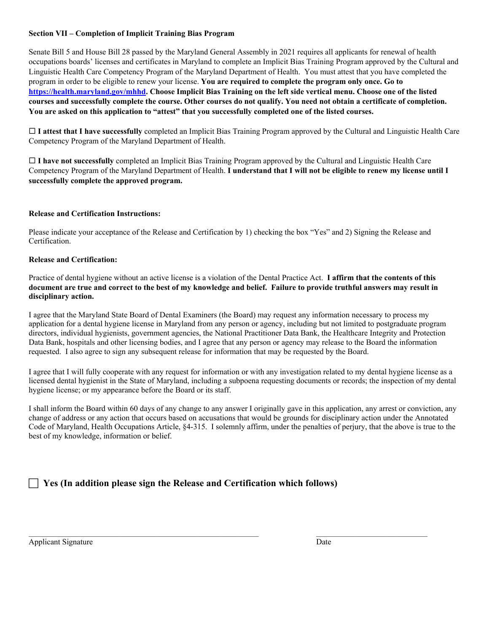### **Section VII – Completion of Implicit Training Bias Program**

Senate Bill 5 and House Bill 28 passed by the Maryland General Assembly in 2021 requires all applicants for renewal of health occupations boards' licenses and certificates in Maryland to complete an Implicit Bias Training Program approved by the Cultural and Linguistic Health Care Competency Program of the Maryland Department of Health. You must attest that you have completed the program in order to be eligible to renew your license. **You are required to complete the program only once. Go to https://health.maryland.gov/mhhd. Choose Implicit Bias Training on the left side vertical menu. Choose one of the listed courses and successfully complete the course. Other courses do not qualify. You need not obtain a certificate of completion. You are asked on this application to "attest" that you successfully completed one of the listed courses.** 

 **I attest that I have successfully** completed an Implicit Bias Training Program approved by the Cultural and Linguistic Health Care Competency Program of the Maryland Department of Health.

 **I have not successfully** completed an Implicit Bias Training Program approved by the Cultural and Linguistic Health Care Competency Program of the Maryland Department of Health. **I understand that I will not be eligible to renew my license until I successfully complete the approved program.**

### **Release and Certification Instructions:**

Please indicate your acceptance of the Release and Certification by 1) checking the box "Yes" and 2) Signing the Release and Certification.

### **Release and Certification:**

Practice of dental hygiene without an active license is a violation of the Dental Practice Act. **I affirm that the contents of this document are true and correct to the best of my knowledge and belief. Failure to provide truthful answers may result in disciplinary action.** 

I agree that the Maryland State Board of Dental Examiners (the Board) may request any information necessary to process my application for a dental hygiene license in Maryland from any person or agency, including but not limited to postgraduate program directors, individual hygienists, government agencies, the National Practitioner Data Bank, the Healthcare Integrity and Protection Data Bank, hospitals and other licensing bodies, and I agree that any person or agency may release to the Board the information requested. I also agree to sign any subsequent release for information that may be requested by the Board.

I agree that I will fully cooperate with any request for information or with any investigation related to my dental hygiene license as a licensed dental hygienist in the State of Maryland, including a subpoena requesting documents or records; the inspection of my dental hygiene license; or my appearance before the Board or its staff.

I shall inform the Board within 60 days of any change to any answer I originally gave in this application, any arrest or conviction, any change of address or any action that occurs based on accusations that would be grounds for disciplinary action under the Annotated Code of Maryland, Health Occupations Article, §4-315. I solemnly affirm, under the penalties of perjury, that the above is true to the best of my knowledge, information or belief.

## **Yes (In addition please sign the Release and Certification which follows)**

Applicant Signature Date **Date**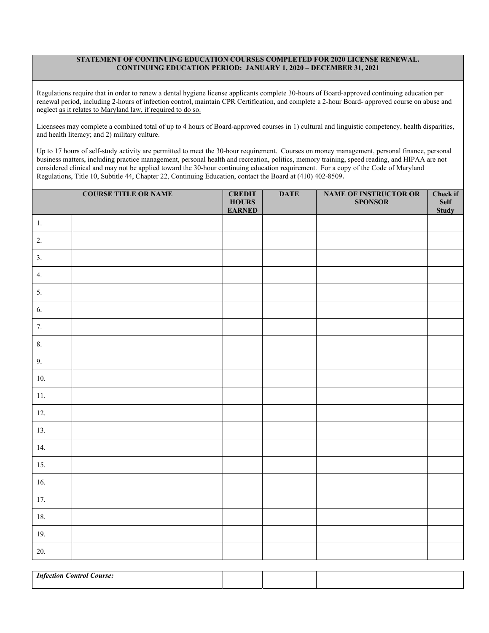#### **STATEMENT OF CONTINUING EDUCATION COURSES COMPLETED FOR 2020 LICENSE RENEWAL. CONTINUING EDUCATION PERIOD: JANUARY 1, 2020 – DECEMBER 31, 2021**

Regulations require that in order to renew a dental hygiene license applicants complete 30-hours of Board-approved continuing education per renewal period, including 2-hours of infection control, maintain CPR Certification, and complete a 2-hour Board- approved course on abuse and neglect as it relates to Maryland law, if required to do so.

Licensees may complete a combined total of up to 4 hours of Board-approved courses in 1) cultural and linguistic competency, health disparities, and health literacy; and 2) military culture.

Up to 17 hours of self-study activity are permitted to meet the 30-hour requirement. Courses on money management, personal finance, personal business matters, including practice management, personal health and recreation, politics, memory training, speed reading, and HIPAA are not considered clinical and may not be applied toward the 30-hour continuing education requirement. For a copy of the Code of Maryland Regulations, Title 10, Subtitle 44, Chapter 22, Continuing Education, contact the Board at (410) 402-8509.

| <b>COURSE TITLE OR NAME</b> |                                  | <b>CREDIT</b><br><b>HOURS</b><br><b>EARNED</b> | <b>DATE</b> | NAME OF INSTRUCTOR OR<br><b>SPONSOR</b> | Check if<br><b>Self</b><br><b>Study</b> |
|-----------------------------|----------------------------------|------------------------------------------------|-------------|-----------------------------------------|-----------------------------------------|
| $1.$                        |                                  |                                                |             |                                         |                                         |
| 2.                          |                                  |                                                |             |                                         |                                         |
| 3.                          |                                  |                                                |             |                                         |                                         |
| 4.                          |                                  |                                                |             |                                         |                                         |
| 5.                          |                                  |                                                |             |                                         |                                         |
| 6.                          |                                  |                                                |             |                                         |                                         |
| 7.                          |                                  |                                                |             |                                         |                                         |
| 8.                          |                                  |                                                |             |                                         |                                         |
| 9.                          |                                  |                                                |             |                                         |                                         |
| 10.                         |                                  |                                                |             |                                         |                                         |
| 11.                         |                                  |                                                |             |                                         |                                         |
| 12.                         |                                  |                                                |             |                                         |                                         |
| 13.                         |                                  |                                                |             |                                         |                                         |
| 14.                         |                                  |                                                |             |                                         |                                         |
| 15.                         |                                  |                                                |             |                                         |                                         |
| 16.                         |                                  |                                                |             |                                         |                                         |
| 17.                         |                                  |                                                |             |                                         |                                         |
| 18.                         |                                  |                                                |             |                                         |                                         |
| 19.                         |                                  |                                                |             |                                         |                                         |
| 20.                         |                                  |                                                |             |                                         |                                         |
|                             | <b>Infection Control Course:</b> |                                                |             |                                         |                                         |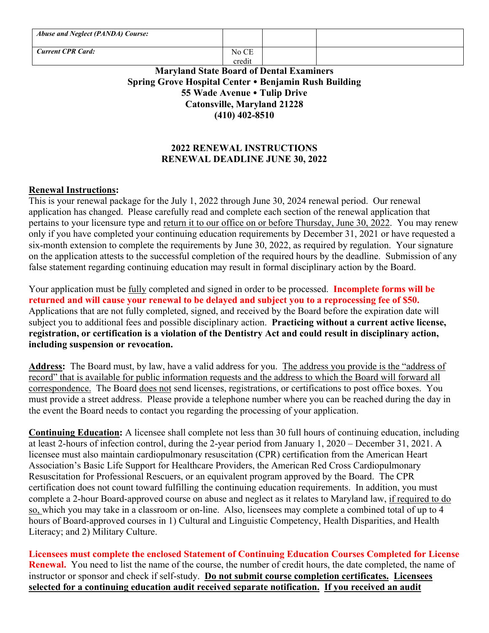| <b>Abuse and Neglect (PANDA) Course:</b> |        |  |
|------------------------------------------|--------|--|
| <b>Current CPR Card:</b>                 | No CE  |  |
|                                          | credit |  |

## **Maryland State Board of Dental Examiners Spring Grove Hospital Center Benjamin Rush Building 55 Wade Avenue Tulip Drive Catonsville, Maryland 21228 (410) 402-8510**

## **2022 RENEWAL INSTRUCTIONS RENEWAL DEADLINE JUNE 30, 2022**

### **Renewal Instructions:**

This is your renewal package for the July 1, 2022 through June 30, 2024 renewal period. Our renewal application has changed. Please carefully read and complete each section of the renewal application that pertains to your licensure type and return it to our office on or before Thursday, June 30, 2022. You may renew only if you have completed your continuing education requirements by December 31, 2021 or have requested a six-month extension to complete the requirements by June 30, 2022, as required by regulation. Your signature on the application attests to the successful completion of the required hours by the deadline. Submission of any false statement regarding continuing education may result in formal disciplinary action by the Board.

Your application must be fully completed and signed in order to be processed. **Incomplete forms will be returned and will cause your renewal to be delayed and subject you to a reprocessing fee of \$50.** Applications that are not fully completed, signed, and received by the Board before the expiration date will subject you to additional fees and possible disciplinary action. **Practicing without a current active license, registration, or certification is a violation of the Dentistry Act and could result in disciplinary action, including suspension or revocation.**

**Address:** The Board must, by law, have a valid address for you. The address you provide is the "address of record" that is available for public information requests and the address to which the Board will forward all correspondence. The Board does not send licenses, registrations, or certifications to post office boxes. You must provide a street address. Please provide a telephone number where you can be reached during the day in the event the Board needs to contact you regarding the processing of your application.

**Continuing Education:** A licensee shall complete not less than 30 full hours of continuing education, including at least 2-hours of infection control, during the 2-year period from January 1, 2020 – December 31, 2021. A licensee must also maintain cardiopulmonary resuscitation (CPR) certification from the American Heart Association's Basic Life Support for Healthcare Providers, the American Red Cross Cardiopulmonary Resuscitation for Professional Rescuers, or an equivalent program approved by the Board. The CPR certification does not count toward fulfilling the continuing education requirements. In addition, you must complete a 2-hour Board-approved course on abuse and neglect as it relates to Maryland law, if required to do so, which you may take in a classroom or on-line. Also, licensees may complete a combined total of up to 4 hours of Board-approved courses in 1) Cultural and Linguistic Competency, Health Disparities, and Health Literacy; and 2) Military Culture.

**Licensees must complete the enclosed Statement of Continuing Education Courses Completed for License Renewal.** You need to list the name of the course, the number of credit hours, the date completed, the name of instructor or sponsor and check if self-study. **Do not submit course completion certificates. Licensees selected for a continuing education audit received separate notification. If you received an audit**